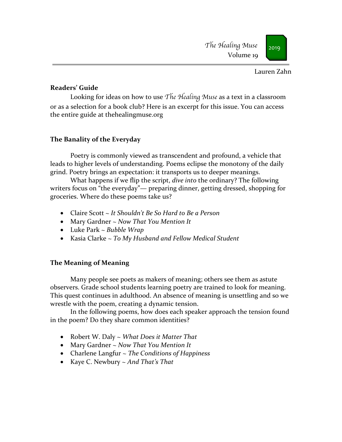#### Lauren Zahn

### **Readers' Guide**

Looking for ideas on how to use *The Healing Muse* as a text in a classroom or as a selection for a book club? Here is an excerpt for this issue. You can access the entire guide at thehealingmuse.org

# **The Banality of the Everyday**

Poetry is commonly viewed as transcendent and profound, a vehicle that leads to higher levels of understanding. Poems eclipse the monotony of the daily grind. Poetry brings an expectation: it transports us to deeper meanings.

What happens if we flip the script, *dive into* the ordinary? The following writers focus on "the everyday"— preparing dinner, getting dressed, shopping for groceries. Where do these poems take us?

- Claire Scott *~ It Shouldn't Be So Hard to Be a Person*
- Mary Gardner ~ *Now That You Mention It*
- Luke Park ~ *Bubble Wrap*
- Kasia Clarke ~ *To My Husband and Fellow Medical Student*

# **The Meaning of Meaning**

Many people see poets as makers of meaning; others see them as astute observers. Grade school students learning poetry are trained to look for meaning. This quest continues in adulthood. An absence of meaning is unsettling and so we wrestle with the poem, creating a dynamic tension.

In the following poems, how does each speaker approach the tension found in the poem? Do they share common identities?

- Robert W. Daly ~ *What Does it Matter That*
- Mary Gardner ~ *Now That You Mention It*
- Charlene Langfur ~ *The Conditions of Happiness*
- Kaye C. Newbury ~ *And That's That*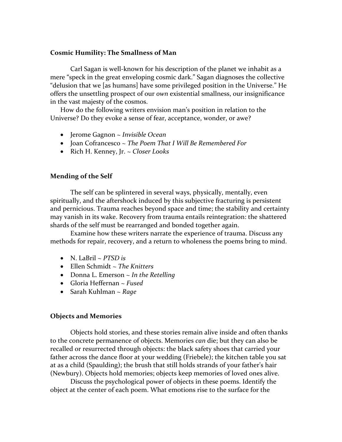#### **Cosmic Humility: The Smallness of Man**

Carl Sagan is well-known for his description of the planet we inhabit as a mere "speck in the great enveloping cosmic dark." Sagan diagnoses the collective "delusion that we [as humans] have some privileged position in the Universe." He offers the unsettling prospect of our *own* existential smallness, our insignificance in the vast majesty of the cosmos.

How do the following writers envision man's position in relation to the Universe? Do they evoke a sense of fear, acceptance, wonder, or awe?

- Jerome Gagnon ~ *Invisible Ocean*
- Joan Cofrancesco ~ *The Poem That I Will Be Remembered For*
- Rich H. Kenney, Jr. ~ *Closer Looks*

### **Mending of the Self**

The self can be splintered in several ways, physically, mentally, even spiritually, and the aftershock induced by this subjective fracturing is persistent and pernicious. Trauma reaches beyond space and time; the stability and certainty may vanish in its wake. Recovery from trauma entails reintegration: the shattered shards of the self must be rearranged and bonded together again.

Examine how these writers narrate the experience of trauma. Discuss any methods for repair, recovery, and a return to wholeness the poems bring to mind.

- N. LaBril ~ *PTSD is*
- Ellen Schmidt ~ *The Knitters*
- Donna L. Emerson ~ *In the Retelling*
- Gloria Heffernan ~ *Fused*
- Sarah Kuhlman ~ *Rage*

#### **Objects and Memories**

Objects hold stories, and these stories remain alive inside and often thanks to the concrete permanence of objects. Memories *can* die; but they can also be recalled or resurrected through objects: the black safety shoes that carried your father across the dance floor at your wedding (Friebele); the kitchen table you sat at as a child (Spaulding); the brush that still holds strands of your father's hair (Newbury). Objects hold memories; objects keep memories of loved ones alive.

Discuss the psychological power of objects in these poems. Identify the object at the center of each poem. What emotions rise to the surface for the